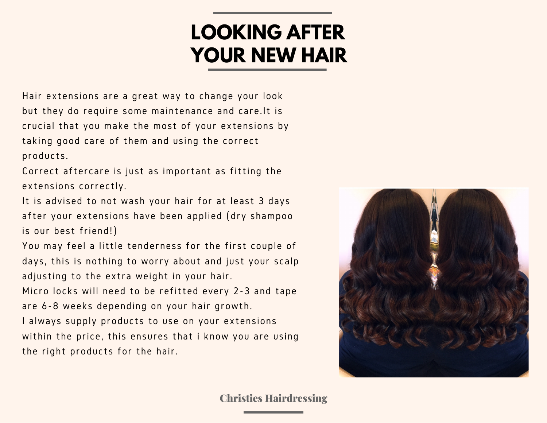## **LOOKING AFTER YOUR NEW HAIR**

Hair extensions are a great way to change your look but they do require some maintenance and care.It is crucial that you make the most of your extensions by taking good care of them and using the correct products.

Correct aftercare is just as important as fitting the extensions correctly.

It is advised to not wash your hair for at least 3 days after your extensions have been applied (dry shampoo is our best friend!)

You may feel a little tenderness for the first couple of days, this is nothing to worry about and just your scalp adjusting to the extra weight in your hair.

Micro locks will need to be refitted every 2-3 and tape are 6-8 weeks depending on your hair growth.

I always supply products to use on your extensions within the price, this ensures that i know you are using the right products for the hair.



Christies Hairdressing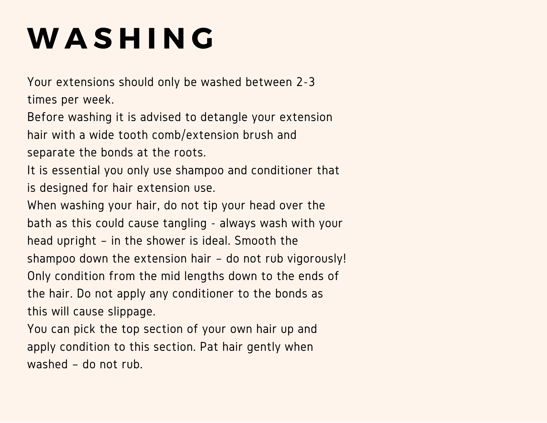## W A S H I N G

Your extensions should only be washed between 2-3 times per week.

Before washing it is advised to detangle your extension hair with a wide tooth comb/extension brush and

separate the bonds at the roots.

It is essential you only use shampoo and conditioner that is designed for hair extension use.

When washing your hair, do not tip your head over the bath as this could cause tangling - always wash with your head upright – in the shower is ideal. Smooth the shampoo down the extension hair – do not rub vigorously! Only condition from the mid lengths down to the ends of the hair. Do not apply any conditioner to the bonds as this will cause slippage.

You can pick the top section of your own hair up and apply condition to this section. Pat hair gently when washed – do not rub.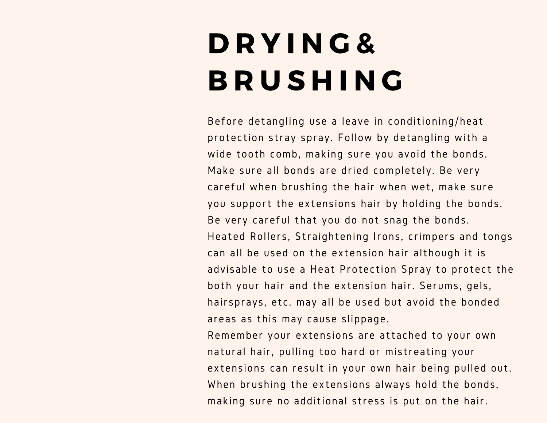## D R Y I N G & **BRUSHING**

Before detangling use a leave in conditioning/heat protection stray spray. Follow by detangling with a wide tooth comb, making sure you avoid the bonds. Make sure all bonds are dried completely. Be very careful when brushing the hair when wet, make sure you support the extensions hair by holding the bonds. Be very careful that you do not snag the bonds. Heated Rollers, Straightening Irons, crimpers and tongs can all be used on the extension hair although it is advisable to use a Heat Protection Spray to protect the both your hair and the extension hair. Serums, gels, hairsprays, etc. may all be used but avoid the bonded areas as this may cause slippage.

Remember your extensions are attached to your own natural hair, pulling too hard or mistreating your extensions can result in your own hair being pulled out. When brushing the extensions always hold the bonds, making sure no additional stress is put on the hair.